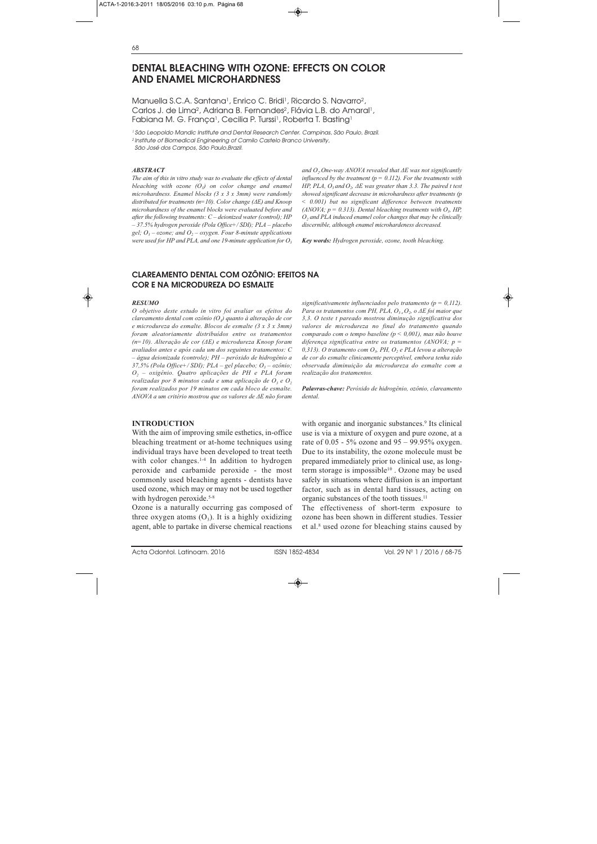# **DENTAL BLEACHING WITH OZONE: EFFECTS ON COLOR AND ENAMEL MICROHARDNESS**

Manuella S.C.A. Santana<sup>1</sup>, Enrico C. Bridi<sup>1</sup>, Ricardo S. Navarro<sup>2</sup>, Carlos J. de Lima<sup>2</sup>, Adriana B. Fernandes<sup>2</sup>, Flávia L.B. do Amaral<sup>1</sup>, Fabiana M. G. França<sup>1</sup>, Cecilia P. Turssi<sup>1</sup>, Roberta T. Basting<sup>1</sup>

1 São Leopoldo Mandic Institute and Dental Research Center. Campinas, São Paulo, Brazil.

2 Institute of Biomedical Engineering of Camilo Castelo Branco University,

São José dos Campos, São Paulo,Brazil.

#### *ABSTRACT*

*The aim of this in vitro study was to evaluate the effects of dental bleaching with ozone (O3) on color change and enamel microhardness. Enamel blocks (3 x 3 x 3mm) were randomly distributed for treatments (n=10). Color change (ΔE) and Knoop microhardness of the enamel blocks were evaluated before and after the following treatments: C – deionized water (control); HP – 37.5% hydrogen peroxide (Pola Office+/ SDI); PLA – placebo gel;*  $O_3$  – *ozone;* and  $O_2$  – *oxygen. Four 8-minute applications were used for HP and PLA, and one 19-minute application for O3* *and O2.One-way ANOVA revealed that ΔE was not significantly influenced by the treatment (p = 0.112). For the treatments with HP, PLA,*  $O_3$  *and*  $O_2$ *,*  $\Delta E$  *was greater than 3.3. The paired t test showed significant decrease in microhardness after treatments (p < 0.001) but no significant difference between treatments (ANOVA; p = 0.313). Dental bleaching treatments with*  $O<sub>3</sub>$ *, HP, O2 and PLA induced enamel color changes that may be clinically discernible, although enamel microhardeness decreased.*

*Key words: Hydrogen peroxide, ozone, tooth bleaching.*

### **CLAREAMENTO DENTAL COM OZÔNIO: EFEITOS NA COR E NA MICRODUREZA DO ESMALTE**

#### *RESUMO*

*O objetivo deste estudo in vitro foi avaliar os efeitos do clareamento dental com ozônio (O3) quanto à alteração de cor e microdureza do esmalte. Blocos de esmalte (3 x 3 x 3mm) foram aleatoriamente distribuídos entre os tratamentos (n=10). Alteração de cor (ΔE) e microdureza Knoop foram avaliados antes e após cada um dos seguintes tratamentos: C – água deionizada (controle); PH – peróxido de hidrogênio a 37,5% (Pola Office+/ SDI); PLA – gel placebo; O3 – ozônio; O2 – oxigênio. Quatro aplicações de PH e PLA foram*  $realizadas por 8 minutos cada e uma aplicação de  $O<sub>3</sub> e O<sub>2</sub>$$ *foram realizados por 19 minutos em cada bloco de esmalte. ANOVA a um critério mostrou que os valores de ΔE não foram*

### **INTRODUCTION**

With the aim of improving smile esthetics, in-office bleaching treatment or at-home techniques using individual trays have been developed to treat teeth with color changes.<sup>1-4</sup> In addition to hydrogen peroxide and carbamide peroxide - the most commonly used bleaching agents - dentists have used ozone, which may or may not be used together with hydrogen peroxide.<sup>5-8</sup>

Ozone is a naturally occurring gas composed of three oxygen atoms  $(O_3)$ . It is a highly oxidizing agent, able to partake in diverse chemical reactions *significativamente influenciados pelo tratamento (p = 0,112). Para os tratamentos com PH, PLA, O3 e O2, o ΔE foi maior que 3,3. O teste t pareado mostrou diminução significativa dos valores de microdureza no final do tratamento quando comparado com o tempo baseline (p < 0,001), mas não houve diferença significativa entre os tratamentos (ANOVA; p = 0,313). O tratamento com O3, PH, O2 e PLA levou a alteração de cor do esmalte clinicamente perceptível, embora tenha sido observada diminuição da microdureza do esmalte com a realização dos tratamentos.*

*Palavras-chave: Peróxido de hidrogênio, ozônio, clareamento dental.*

with organic and inorganic substances.<sup>9</sup> Its clinical use is via a mixture of oxygen and pure ozone, at a rate of  $0.05 - 5\%$  ozone and  $95 - 99.95\%$  oxygen. Due to its instability, the ozone molecule must be prepared immediately prior to clinical use, as longterm storage is impossible<sup>10</sup>. Ozone may be used safely in situations where diffusion is an important factor, such as in dental hard tissues, acting on organic substances of the tooth tissues.<sup>11</sup>

The effectiveness of short-term exposure to ozone has been shown in different studies. Tessier et al.<sup>8</sup> used ozone for bleaching stains caused by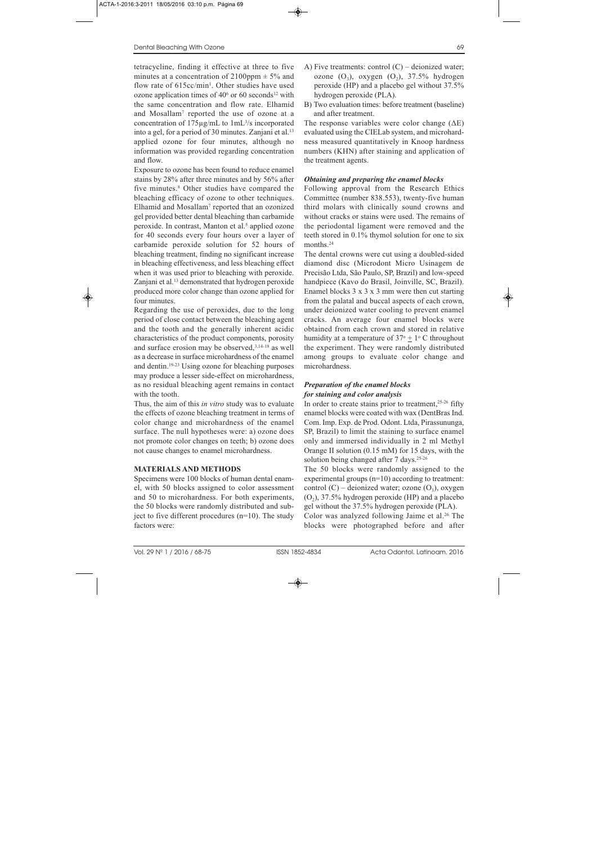tetracycline, finding it effective at three to five minutes at a concentration of  $2100$ ppm  $\pm$  5% and flow rate of  $615cc/min$ . Other studies have used ozone application times of  $40<sup>6</sup>$  or 60 seconds<sup>12</sup> with the same concentration and flow rate. Elhamid and Mosallam7 reported the use of ozone at a concentration of  $175 \mu g/mL$  to  $1 mL<sup>3</sup>/s$  incorporated into a gel, for a period of 30 minutes. Zanjani et al.<sup>13</sup> applied ozone for four minutes, although no information was provided regarding concentration and flow.

Exposure to ozone has been found to reduce enamel stains by 28% after three minutes and by 56% after five minutes.8 Other studies have compared the bleaching efficacy of ozone to other techniques. Elhamid and Mosallam7 reported that an ozonized gel provided better dental bleaching than carbamide peroxide. In contrast, Manton et al.<sup>5</sup> applied ozone for 40 seconds every four hours over a layer of carbamide peroxide solution for 52 hours of bleaching treatment, finding no significant increase in bleaching effectiveness, and less bleaching effect when it was used prior to bleaching with peroxide. Zanjani et al.13 demonstrated that hydrogen peroxide produced more color change than ozone applied for four minutes.

Regarding the use of peroxides, due to the long period of close contact between the bleaching agent and the tooth and the generally inherent acidic characteristics of the product components, porosity and surface erosion may be observed,<sup>3,14-18</sup> as well as a decrease in surface microhardness of the enamel and dentin.19-23 Using ozone for bleaching purposes may produce a lesser side-effect on microhardness, as no residual bleaching agent remains in contact with the tooth.

Thus, the aim of this *in vitro* study was to evaluate the effects of ozone bleaching treatment in terms of color change and microhardness of the enamel surface. The null hypotheses were: a) ozone does not promote color changes on teeth; b) ozone does not cause changes to enamel microhardness.

## **MATERIALS AND METHODS**

Specimens were 100 blocks of human dental enamel, with 50 blocks assigned to color assessment and 50 to microhardness. For both experiments, the 50 blocks were randomly distributed and subject to five different procedures (n=10). The study factors were:

- A) Five treatments: control  $(C)$  deionized water; ozone  $(O_3)$ , oxygen  $(O_2)$ , 37.5% hydrogen peroxide (HP) and a placebo gel without 37.5% hydrogen peroxide (PLA).
- B) Two evaluation times: before treatment (baseline) and after treatment.

The response variables were color change  $(\Delta E)$ evaluated using the CIELab system, and microhardness measured quantitatively in Knoop hardness numbers (KHN) after staining and application of the treatment agents.

# *Obtaining and preparing the enamel blocks*

Following approval from the Research Ethics Committee (number 838.553), twenty-five human third molars with clinically sound crowns and without cracks or stains were used. The remains of the periodontal ligament were removed and the teeth stored in 0.1% thymol solution for one to six months.<sup>24</sup>

The dental crowns were cut using a doubled-sided diamond disc (Microdont Micro Usinagem de Precisão Ltda, São Paulo, SP, Brazil) and low-speed handpiece (Kavo do Brasil, Joinville, SC, Brazil). Enamel blocks  $3 \times 3 \times 3$  mm were then cut starting from the palatal and buccal aspects of each crown, under deionized water cooling to prevent enamel cracks. An average four enamel blocks were obtained from each crown and stored in relative humidity at a temperature of  $37^\circ + 1^\circ$  C throughout the experiment. They were randomly distributed among groups to evaluate color change and microhardness.

## *Preparation of the enamel blocks for staining and color analysis*

In order to create stains prior to treatment, $25-26$  fifty enamel blocks were coated with wax (DentBras Ind. Com. Imp. Exp. de Prod. Odont. Ltda, Pirassununga, SP, Brazil) to limit the staining to surface enamel only and immersed individually in 2 ml Methyl Orange II solution (0.15 mM) for 15 days, with the solution being changed after 7 days.<sup>25-26</sup>

The 50 blocks were randomly assigned to the experimental groups (n=10) according to treatment: control  $(C)$  – deionized water; ozone  $(O_3)$ , oxygen  $(O_2)$ , 37.5% hydrogen peroxide (HP) and a placebo gel without the 37.5% hydrogen peroxide (PLA).

Color was analyzed following Jaime et al.<sup>26</sup> The blocks were photographed before and after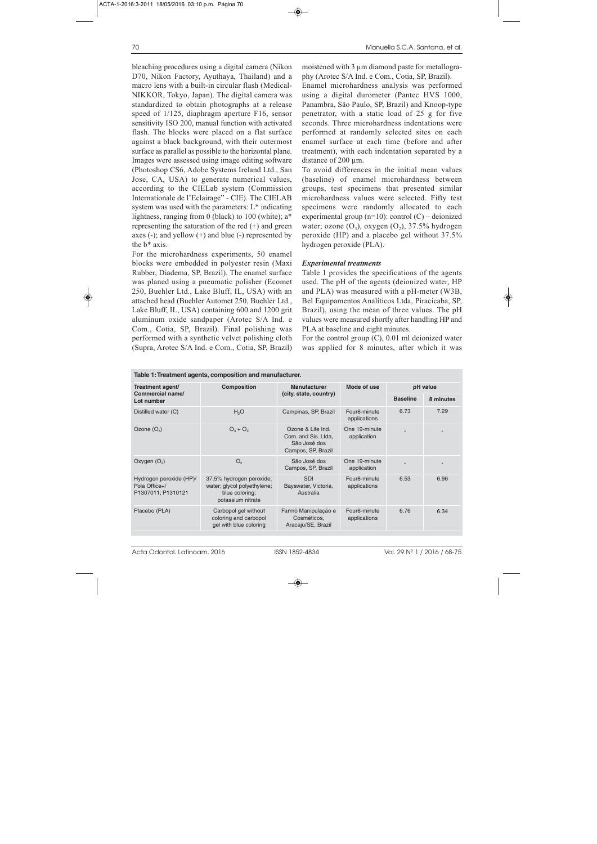bleaching procedures using a digital camera (Nikon D70, Nikon Factory, Ayuthaya, Thailand) and a macro lens with a built-in circular flash (Medical-NIKKOR, Tokyo, Japan). The digital camera was standardized to obtain photographs at a release speed of 1/125, diaphragm aperture F16, sensor sensitivity ISO 200, manual function with activated flash. The blocks were placed on a flat surface against a black background, with their outermost surface as parallel as possible to the horizontal plane. Images were assessed using image editing software (Photoshop CS6, Adobe Systems Ireland Ltd., San Jose, CA, USA) to generate numerical values, according to the CIELab system (Commission Internationale de l'Eclairage" - CIE). The CIELAB system was used with the parameters: L\* indicating lightness, ranging from 0 (black) to 100 (white); a\* representing the saturation of the red  $(+)$  and green axes  $(-)$ ; and yellow  $(+)$  and blue  $(-)$  represented by the b\* axis.

For the microhardness experiments, 50 enamel blocks were embedded in polyester resin (Maxi Rubber, Diadema, SP, Brazil). The enamel surface was planed using a pneumatic polisher (Ecomet 250, Buehler Ltd., Lake Bluff, IL, USA) with an attached head (Buehler Automet 250, Buehler Ltd., Lake Bluff, IL, USA) containing 600 and 1200 grit aluminum oxide sandpaper (Arotec S/A Ind. e Com., Cotia, SP, Brazil). Final polishing was performed with a synthetic velvet polishing cloth (Supra, Arotec S/A Ind. e Com., Cotia, SP, Brazil) moistened with  $3 \mu$ m diamond paste for metallography (Arotec S/A Ind. e Com., Cotia, SP, Brazil).

Enamel microhardness analysis was performed using a digital durometer (Pantec HVS 1000, Panambra, São Paulo, SP, Brazil) and Knoop-type penetrator, with a static load of 25 g for five seconds. Three microhardness indentations were performed at randomly selected sites on each enamel surface at each time (before and after treatment), with each indentation separated by a distance of 200  $\mu$ m.

To avoid differences in the initial mean values (baseline) of enamel microhardness between groups, test specimens that presented similar microhardness values were selected. Fifty test specimens were randomly allocated to each experimental group  $(n=10)$ : control  $(C)$  – deionized water; ozone  $(O_3)$ , oxygen  $(O_2)$ , 37.5% hydrogen peroxide (HP) and a placebo gel without 37.5% hydrogen peroxide (PLA).

### *Experimental treatments*

Table 1 provides the specifications of the agents used. The pH of the agents (deionized water, HP and PLA) was measured with a pH-meter (W3B, Bel Equipamentos Analíticos Ltda, Piracicaba, SP, Brazil), using the mean of three values. The pH values were measured shortly after handling HP and PLA at baseline and eight minutes.

For the control group (C), 0.01 ml deionized water was applied for 8 minutes, after which it was

| Table 1: Treatment agents, composition and manufacturer.       |                                                                                                |                                                                                |                              |                 |           |  |  |  |  |
|----------------------------------------------------------------|------------------------------------------------------------------------------------------------|--------------------------------------------------------------------------------|------------------------------|-----------------|-----------|--|--|--|--|
| Treatment agent/                                               | <b>Composition</b>                                                                             | <b>Manufacturer</b>                                                            | Mode of use                  | pH value        |           |  |  |  |  |
| <b>Commercial name/</b><br>Lot number                          |                                                                                                | (city, state, country)                                                         |                              | <b>Baseline</b> | 8 minutes |  |  |  |  |
| Distilled water (C)                                            | H <sub>2</sub> O                                                                               | Campinas, SP, Brazil                                                           | Four8-minute<br>applications | 6.73            | 7.29      |  |  |  |  |
| Ozone $(O_3)$                                                  | $O_3 + O_2$                                                                                    | Ozone & Life Ind.<br>Com. and Sis. Ltda,<br>São José dos<br>Campos, SP, Brazil | One 19-minute<br>application |                 |           |  |  |  |  |
| Oxygen $(O_2)$                                                 | O <sub>2</sub>                                                                                 | São José dos<br>Campos, SP, Brazil                                             | One 19-minute<br>application |                 |           |  |  |  |  |
| Hydrogen peroxide (HP)/<br>Pola Office+/<br>P1307011; P1310121 | 37.5% hydrogen peroxide;<br>water; glycol polyethylene;<br>blue coloring;<br>potassium nitrate | <b>SDI</b><br>Bayswater, Victoria,<br>Australia                                | Four8-minute<br>applications | 6.53            | 6.96      |  |  |  |  |
| Placebo (PLA)                                                  | Carbopol gel without<br>coloring and carbopol<br>gel with blue coloring                        | Farmö Manipulação e<br>Cosméticos,<br>Aracaju/SE, Brazil                       | Four8-minute<br>applications | 6.76            | 6.34      |  |  |  |  |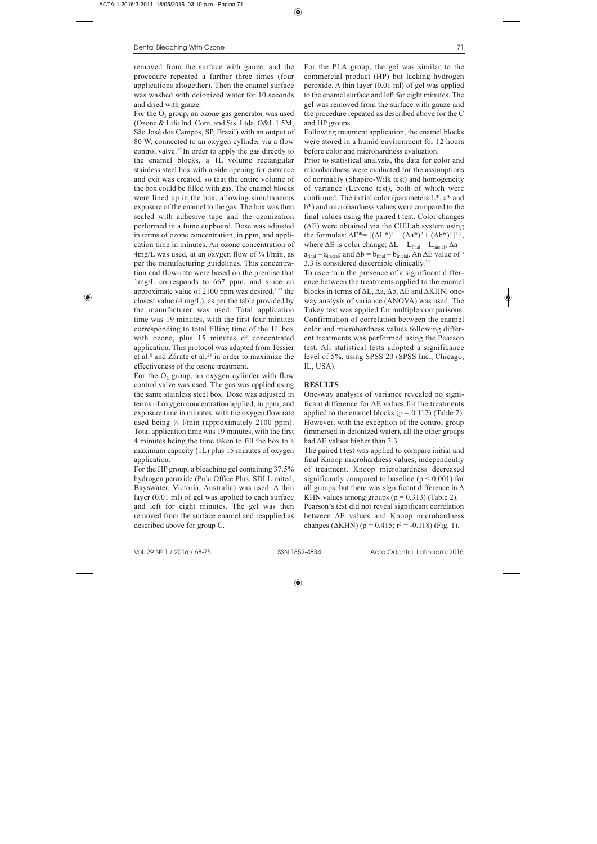removed from the surface with gauze, and the procedure repeated a further three times (four applications altogether). Then the enamel surface was washed with deionized water for 10 seconds and dried with gauze.

For the  $O_3$  group, an ozone gas generator was used (Ozone & Life Ind. Com. and Sis. Ltda, O&L 1.5M, São José dos Campos, SP, Brazil) with an output of 80 W, connected to an oxygen cylinder via a flow control valve.27 In order to apply the gas directly to the enamel blocks, a 1L volume rectangular stainless steel box with a side opening for entrance and exit was created, so that the entire volume of the box could be filled with gas. The enamel blocks were lined up in the box, allowing simultaneous exposure of the enamel to the gas. The box was then sealed with adhesive tape and the ozonization performed in a fume cupboard. Dose was adjusted in terms of ozone concentration, in ppm, and application time in minutes. An ozone concentration of  $4mg/L$  was used, at an oxygen flow of  $\frac{1}{4}$  l/min, as per the manufacturing guidelines. This concentration and flow-rate were based on the premise that 1mg/L corresponds to 667 ppm, and since an approximate value of  $2100$  ppm was desired, $8,27$  the closest value (4 mg/L), as per the table provided by the manufacturer was used. Total application time was 19 minutes, with the first four minutes corresponding to total filling time of the 1L box with ozone, plus 15 minutes of concentrated application. This protocol was adapted from Tessier et al.8 and Zárate et al.28 in order to maximize the effectiveness of the ozone treatment.

For the  $O_2$  group, an oxygen cylinder with flow control valve was used. The gas was applied using the same stainless steel box. Dose was adjusted in terms of oxygen concentration applied, in ppm, and exposure time in minutes, with the oxygen flow rate used being  $\frac{1}{4}$  l/min (approximately 2100 ppm). Total application time was 19 minutes, with the first 4 minutes being the time taken to fill the box to a maximum capacity (1L) plus 15 minutes of oxygen application.

For the HP group, a bleaching gel containing 37.5% hydrogen peroxide (Pola Office Plus, SDI Limited, Bayswater, Victoria, Australia) was used. A thin layer (0.01 ml) of gel was applied to each surface and left for eight minutes. The gel was then removed from the surface enamel and reapplied as described above for group C.

For the PLA group, the gel was similar to the commercial product (HP) but lacking hydrogen peroxide. A thin layer (0.01 ml) of gel was applied to the enamel surface and left for eight minutes. The gel was removed from the surface with gauze and the procedure repeated as described above for the C and HP groups.

Following treatment application, the enamel blocks were stored in a humid environment for 12 hours before color and microhardness evaluation.

Prior to statistical analysis, the data for color and microhardness were evaluated for the assumptions of normality (Shapiro-Wilk test) and homogeneity of variance (Levene test), both of which were confirmed. The initial color (parameters L\*, a\* and b\*) and microhardness values were compared to the final values using the paired t test. Color changes (ΔE) were obtained via the CIELab system using the formulas:  $\Delta E^* = [(\Delta L^*)^2 + (\Delta a^*)^2 + (\Delta b^*)^2]^{1/2}$ , where  $\Delta E$  is color change;  $\Delta L = L_{final} - L_{initial}$ ;  $\Delta a =$  $a_{final} - a_{initial}$ ; and  $\Delta b = b_{final} - b_{initial}$ . An  $\Delta E$  value of <sup>3</sup> 3.3 is considered discernible clinically.29

To ascertain the presence of a significant difference between the treatments applied to the enamel blocks in terms of ΔL, Δa, Δb, ΔE and ΔKHN, oneway analysis of variance (ANOVA) was used. The Tukey test was applied for multiple comparisons. Confirmation of correlation between the enamel color and microhardness values following different treatments was performed using the Pearson test. All statistical tests adopted a significance level of 5%, using SPSS 20 (SPSS Inc., Chicago, IL, USA).

### **RESULTS**

One-way analysis of variance revealed no signi ficant difference for  $\Delta E$  values for the treatments applied to the enamel blocks ( $p = 0.112$ ) (Table 2). However, with the exception of the control group (immersed in deionized water), all the other groups had  $\Delta E$  values higher than 3.3.

The paired t test was applied to compare initial and final Knoop microhardness values, independently of treatment. Knoop microhardness decreased significantly compared to baseline ( $p < 0.001$ ) for all groups, but there was significant difference in  $\Delta$ KHN values among groups  $(p = 0.313)$  (Table 2). Pearson's test did not reveal significant correlation between ΔE values and Knoop microhardness changes ( $\triangle$ KHN) (p = 0.415; r<sup>2</sup> = -0.118) (Fig. 1).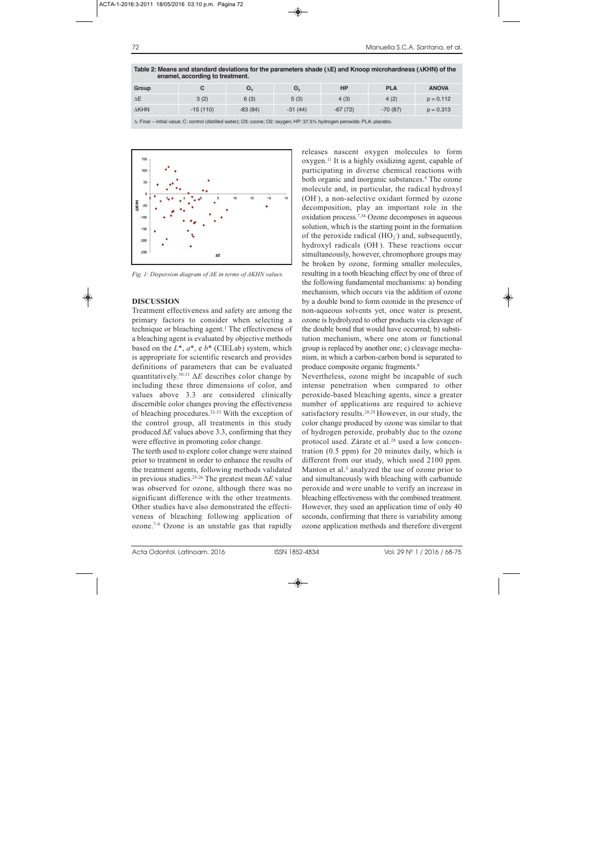| enamel, according to treatment. |            |                |                |           |            |              |  |  |
|---------------------------------|------------|----------------|----------------|-----------|------------|--------------|--|--|
| Group                           |            | $\mathbf{O}_3$ | O <sub>2</sub> | <b>HP</b> | <b>PLA</b> | <b>ANOVA</b> |  |  |
| $\Delta E$                      | 3(2)       | 6(3)           | 5(3)           | 4(3)      | 4(2)       | $p = 0.112$  |  |  |
| $\Delta$ KHN                    | $-15(110)$ | $-83(84)$      | $-31(44)$      | $-67(72)$ | $-70(87)$  | $p = 0.313$  |  |  |
|                                 |            |                |                |           |            |              |  |  |

**Table 2: Means and standard deviations for the parameters shade (ΔE) and Knoop microhardness (ΔKHN) of the** 

Δ: Final – initial value; C: control (distilled water); O3: ozone; O2: oxygen; HP: 37.5% hydrogen peroxide; PLA: placebo.



*Fig. 1: Dispersion diagram of ΔE in terms of ΔKHN values.*

### **DISCUSSION**

Treatment effectiveness and safety are among the primary factors to consider when selecting a technique or bleaching agent.1 The effectiveness of a bleaching agent is evaluated by objective methods based on the *L\**, *a\**, e *b\** (CIELab) system, which is appropriate for scientific research and provides definitions of parameters that can be evaluated quantitatively.30-31 Δ*E* describes color change by including these three dimensions of color, and values above 3.3 are considered clinically discernible color changes proving the effectiveness of bleaching procedures.32-33 With the exception of the control group, all treatments in this study produced Δ*E* values above 3.3, confirming that they were effective in promoting color change.

The teeth used to explore color change were stained prior to treatment in order to enhance the results of the treatment agents, following methods validated in previous studies.25-26 The greatest mean Δ*E* value was observed for ozone, although there was no significant difference with the other treatments. Other studies have also demonstrated the effecti veness of bleaching following application of ozone.7-8 Ozone is an unstable gas that rapidly releases nascent oxygen molecules to form oxygen.11 It is a highly oxidizing agent, capable of participating in diverse chemical reactions with both organic and inorganic substances.<sup>9</sup> The ozone molecule and, in particular, the radical hydroxyl (OH- ), a non-selective oxidant formed by ozone decomposition, play an important role in the oxidation process.7,34 Ozone decomposes in aqueous solution, which is the starting point in the formation of the peroxide radical  $(HO_2)$  and, subsequently, hydroxyl radicals (OH- ). These reactions occur simultaneously, however, chromophore groups may be broken by ozone, forming smaller molecules, resulting in a tooth bleaching effect by one of three of the following fundamental mechanisms: a) bonding mechanism, which occurs via the addition of ozone by a double bond to form ozonide in the presence of non-aqueous solvents yet, once water is present, ozone is hydrolyzed to other products via cleavage of the double bond that would have occurred; b) substitution mechanism, where one atom or functional group is replaced by another one; c) cleavage mecha nism, in which a carbon-carbon bond is separated to produce composite organic fragments.<sup>9</sup>

Nevertheless, ozone might be incapable of such intense penetration when compared to other peroxide-based bleaching agents, since a greater number of applications are required to achieve satisfactory results.<sup>28,35</sup> However, in our study, the color change produced by ozone was similar to that of hydrogen peroxide, probably due to the ozone protocol used. Zárate et al.<sup>28</sup> used a low concentration (0.5 ppm) for 20 minutes daily, which is different from our study, which used 2100 ppm. Manton et al. $5$  analyzed the use of ozone prior to and simultaneously with bleaching with carbamide peroxide and were unable to verify an increase in bleaching effectiveness with the combined treatment. However, they used an application time of only 40 seconds, confirming that there is variability among ozone application methods and therefore divergent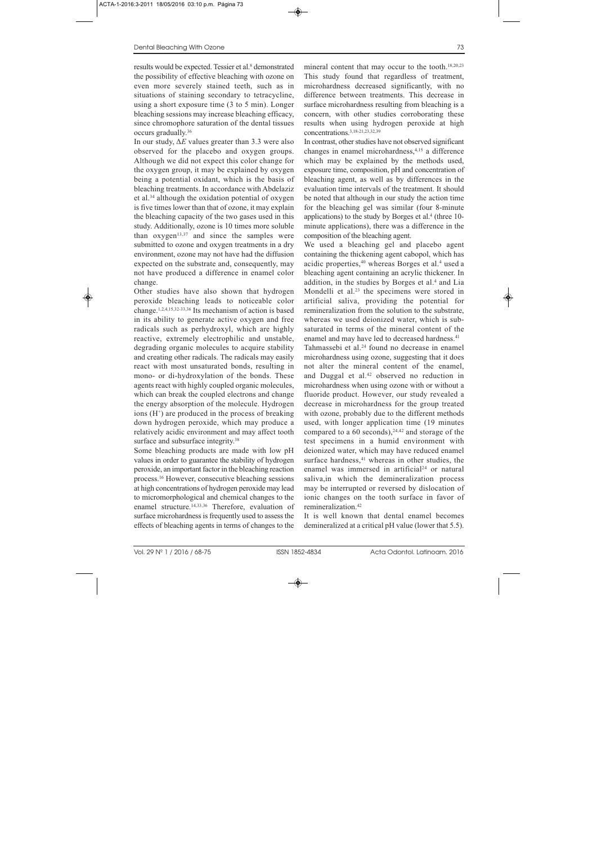results would be expected. Tessier et al.<sup>8</sup> demonstrated the possibility of effective bleaching with ozone on even more severely stained teeth, such as in situations of staining secondary to tetracycline, using a short exposure time (3 to 5 min). Longer bleaching sessions may increase bleaching efficacy, since chromophore saturation of the dental tissues occurs gradually.36

In our study, Δ*E* values greater than 3.3 were also observed for the placebo and oxygen groups. Although we did not expect this color change for the oxygen group, it may be explained by oxygen being a potential oxidant, which is the basis of bleaching treatments. In accordance with Abdelaziz et al.34 although the oxidation potential of oxygen is five times lower than that of ozone, it may explain the bleaching capacity of the two gases used in this study. Additionally, ozone is 10 times more soluble than  $oxygen<sup>13,37</sup>$  and since the samples were submitted to ozone and oxygen treatments in a dry environment, ozone may not have had the diffusion expected on the substrate and, consequently, may not have produced a difference in enamel color change.

Other studies have also shown that hydrogen peroxide bleaching leads to noticeable color change.1,2,4,15,32-33,36 Its mechanism of action is based in its ability to generate active oxygen and free radicals such as perhydroxyl, which are highly reactive, extremely electrophilic and unstable, degrading organic molecules to acquire stability and creating other radicals. The radicals may easily react with most unsaturated bonds, resulting in mono- or di-hydroxylation of the bonds. These agents react with highly coupled organic molecules, which can break the coupled electrons and change the energy absorption of the molecule. Hydrogen ions  $(H^+)$  are produced in the process of breaking down hydrogen peroxide, which may produce a relatively acidic environment and may affect tooth surface and subsurface integrity.<sup>38</sup>

Some bleaching products are made with low pH values in order to guarantee the stability of hydrogen peroxide, an important factor in the bleaching reaction process.16 However, consecutive bleaching sessions at high concentrations of hydrogen peroxide may lead to micromorphological and chemical changes to the enamel structure.<sup>14,33,36</sup> Therefore, evaluation of surface microhardness is frequently used to assess the effects of bleaching agents in terms of changes to the

mineral content that may occur to the tooth.<sup>18,20,23</sup> This study found that regardless of treatment, microhardness decreased significantly, with no difference between treatments. This decrease in surface microhardness resulting from bleaching is a concern, with other studies corroborating these results when using hydrogen peroxide at high concentrations.3,18-21,23,32,39

In contrast, other studies have not observed significant changes in enamel microhardness,4,15 a difference which may be explained by the methods used, exposure time, composition, pH and concentration of bleaching agent, as well as by differences in the evaluation time intervals of the treatment. It should be noted that although in our study the action time for the bleaching gel was similar (four 8-minute applications) to the study by Borges et al.4 (three 10 minute applications), there was a difference in the composition of the bleaching agent.

We used a bleaching gel and placebo agent containing the thickening agent cabopol, which has acidic properties,40 whereas Borges et al.4 used a bleaching agent containing an acrylic thickener. In addition, in the studies by Borges et al.<sup>4</sup> and Lia Mondelli et al.<sup>23</sup> the specimens were stored in artificial saliva, providing the potential for remineralization from the solution to the substrate, whereas we used deionized water, which is subsaturated in terms of the mineral content of the enamel and may have led to decreased hardness.<sup>41</sup>

Tahmassebi et al.<sup>24</sup> found no decrease in enamel microhardness using ozone, suggesting that it does not alter the mineral content of the enamel, and Duggal et al.<sup>42</sup> observed no reduction in microhardness when using ozone with or without a fluoride product. However, our study revealed a decrease in microhardness for the group treated with ozone, probably due to the different methods used, with longer application time (19 minutes compared to a  $60$  seconds),  $24,42$  and storage of the test specimens in a humid environment with deionized water, which may have reduced enamel surface hardness, $41$  whereas in other studies, the enamel was immersed in artificial<sup>24</sup> or natural saliva,in which the demineralization process may be interrupted or reversed by dislocation of ionic changes on the tooth surface in favor of remineralization.42

It is well known that dental enamel becomes demineralized at a critical pH value (lower that 5.5).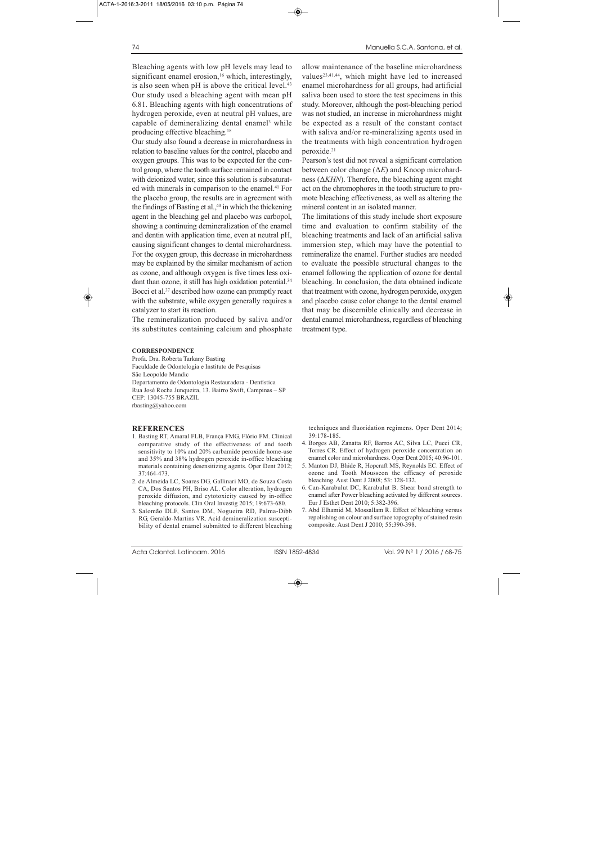Bleaching agents with low pH levels may lead to significant enamel erosion, $16$  which, interestingly, is also seen when pH is above the critical level.<sup>43</sup> Our study used a bleaching agent with mean pH 6.81. Bleaching agents with high concentrations of hydrogen peroxide, even at neutral pH values, are capable of demineralizing dental enamel<sup>3</sup> while producing effective bleaching.18

Our study also found a decrease in microhardness in relation to baseline values for the control, placebo and oxygen groups. This was to be expected for the control group, where the tooth surface remained in contact with deionized water, since this solution is subsaturated with minerals in comparison to the enamel.<sup>41</sup> For the placebo group, the results are in agreement with the findings of Basting et al., $40$  in which the thickening agent in the bleaching gel and placebo was carbopol, showing a continuing demineralization of the enamel and dentin with application time, even at neutral pH, causing significant changes to dental microhardness. For the oxygen group, this decrease in microhardness may be explained by the similar mechanism of action as ozone, and although oxygen is five times less oxidant than ozone, it still has high oxidation potential.<sup>34</sup> Bocci et al.37 described how ozone can promptly react with the substrate, while oxygen generally requires a catalyzer to start its reaction.

The remineralization produced by saliva and/or its substitutes containing calcium and phosphate

#### **CORRESPONDENCE**

Profa. Dra. Roberta Tarkany Basting Faculdade de Odontologia e Instituto de Pesquisas São Leopoldo Mandic Departamento de Odontologia Restauradora - Dentística Rua José Rocha Junqueira, 13. Bairro Swift, Campinas – SP CEP: 13045-755 BRAZIL rbasting@yahoo.com

### **REFERENCES**

- 1. Basting RT, Amaral FLB, França FMG, Flório FM. Clinical comparative study of the effectiveness of and tooth sensitivity to 10% and 20% carbamide peroxide home-use and 35% and 38% hydrogen peroxide in-office bleaching materials containing desensitizing agents. Oper Dent 2012; 37:464-473.
- 2. de Almeida LC, Soares DG, Gallinari MO, de Souza Costa CA, Dos Santos PH, Briso AL. Color alteration, hydrogen peroxide diffusion, and cytotoxicity caused by in-office bleaching protocols. Clin Oral Investig 2015; 19:673-680.
- 3. Salomão DLF, Santos DM, Nogueira RD, Palma-Dibb RG, Geraldo-Martins VR. Acid demineralization susceptibility of dental enamel submitted to different bleaching

allow maintenance of the baseline microhardness values<sup>23,41,44</sup>, which might have led to increased enamel microhardness for all groups, had artificial saliva been used to store the test specimens in this study. Moreover, although the post-bleaching period was not studied, an increase in microhardness might be expected as a result of the constant contact with saliva and/or re-mineralizing agents used in the treatments with high concentration hydrogen peroxide.21

Pearson's test did not reveal a significant correlation between color change (Δ*E*) and Knoop microhardness (Δ*KHN*). Therefore, the bleaching agent might act on the chromophores in the tooth structure to promote bleaching effectiveness, as well as altering the mineral content in an isolated manner.

The limitations of this study include short exposure time and evaluation to confirm stability of the bleaching treatments and lack of an artificial saliva immersion step, which may have the potential to remineralize the enamel. Further studies are needed to evaluate the possible structural changes to the enamel following the application of ozone for dental bleaching. In conclusion, the data obtained indicate that treatment with ozone, hydrogen peroxide, oxygen and placebo cause color change to the dental enamel that may be discernible clinically and decrease in dental enamel microhardness, regardless of bleaching treatment type.

techniques and fluoridation regimens. Oper Dent 2014; 39:178-185.

- 4. Borges AB, Zanatta RF, Barros AC, Silva LC, Pucci CR, Torres CR. Effect of hydrogen peroxide concentration on enamel color and microhardness. Oper Dent 2015; 40:96-101.
- 5. Manton DJ, Bhide R, Hopcraft MS, Reynolds EC. Effect of ozone and Tooth Mousseon the efficacy of peroxide bleaching. Aust Dent J 2008; 53: 128-132.
- 6. Can-Karabulut DC, Karabulut B. Shear bond strength to enamel after Power bleaching activated by different sources. Eur J Esthet Dent 2010; 5:382-396.
- 7. Abd Elhamid M, Mossallam R. Effect of bleaching versus repolishing on colour and surface topography of stained resin composite. Aust Dent J 2010; 55:390-398.